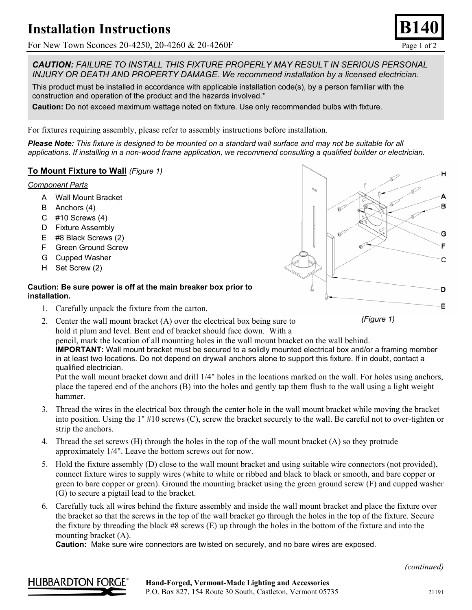# **Installation Instructions**

For New Town Sconces 20-4250, 20-4260 & 20-4260 F

*CAUTION: FAILURE TO INSTALL THIS FIXTURE PROPERLY MAY RESULT IN SERIOUS PERSONAL INJURY OR DEATH AND PROPERTY DAMAGE. We recommend installation by a licensed electrician.*

This product must be installed in accordance with applicable installation code(s), by a person familiar with the construction and operation of the product and the hazards involved.\*

**Caution:** Do not exceed maximum wattage noted on fixture. Use only recommended bulbs with fixture.

For fixtures requiring assembly, please refer to assembly instructions before installation.

*Please Note: This fixture is designed to be mounted on a standard wall surface and may not be suitable for all applications. If installing in a non-wood frame application, we recommend consulting a qualified builder or electrician.* 

## **To Mount Fixture to Wall** *(Figure 1)*

#### *Component Parts*

- A Wall Mount Bracket
- B Anchors (4)
- C #10 Screws (4)
- D Fixture Assembly
- E #8 Black Screws (2)
- F Green Ground Screw
- G Cupped Washer
- H Set Screw (2)

#### **Caution: Be sure power is off at the main breaker box prior to installation.**

- 1. Carefully unpack the fixture from the carton.
- 2. Center the wall mount bracket (A) over the electrical box being sure to hold it plum and level. Bent end of bracket should face down. With a

pencil, mark the location of all mounting holes in the wall mount bracket on the wall behind. **IMPORTANT:** Wall mount bracket must be secured to a solidly mounted electrical box and/or a framing member in at least two locations. Do not depend on drywall anchors alone to support this fixture. If in doubt, contact a qualified electrician.

Put the wall mount bracket down and drill 1/4" holes in the locations marked on the wall. For holes using anchors, place the tapered end of the anchors (B) into the holes and gently tap them flush to the wall using a light weight hammer.

- 3. Thread the wires in the electrical box through the center hole in the wall mount bracket while moving the bracket into position. Using the 1" #10 screws (C), screw the bracket securely to the wall. Be careful not to over-tighten or strip the anchors.
- 4. Thread the set screws (H) through the holes in the top of the wall mount bracket (A) so they protrude approximately 1/4". Leave the bottom screws out for now.
- 5. Hold the fixture assembly (D) close to the wall mount bracket and using suitable wire connectors (not provided), connect fixture wires to supply wires (white to white or ribbed and black to black or smooth, and bare copper or green to bare copper or green). Ground the mounting bracket using the green ground screw (F) and cupped washer (G) to secure a pigtail lead to the bracket.
- 6. Carefully tuck all wires behind the fixture assembly and inside the wall mount bracket and place the fixture over the bracket so that the screws in the top of the wall bracket go through the holes in the top of the fixture. Secure the fixture by threading the black #8 screws (E) up through the holes in the bottom of the fixture and into the mounting bracket (A).

**Caution:** Make sure wire connectors are twisted on securely, and no bare wires are exposed.

*(continued)* 





*(Figure 1)*